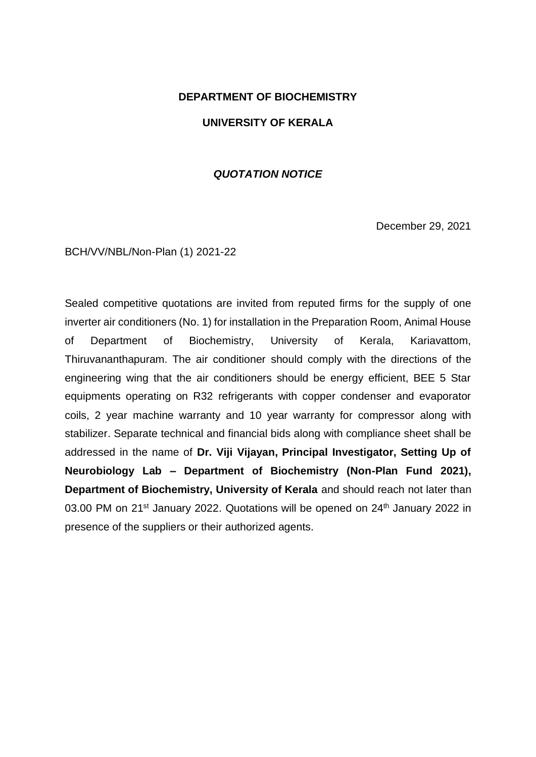## **DEPARTMENT OF BIOCHEMISTRY**

## **UNIVERSITY OF KERALA**

## *QUOTATION NOTICE*

December 29, 2021

BCH/VV/NBL/Non-Plan (1) 2021-22

Sealed competitive quotations are invited from reputed firms for the supply of one inverter air conditioners (No. 1) for installation in the Preparation Room, Animal House of Department of Biochemistry, University of Kerala, Kariavattom, Thiruvananthapuram. The air conditioner should comply with the directions of the engineering wing that the air conditioners should be energy efficient, BEE 5 Star equipments operating on R32 refrigerants with copper condenser and evaporator coils, 2 year machine warranty and 10 year warranty for compressor along with stabilizer. Separate technical and financial bids along with compliance sheet shall be addressed in the name of **Dr. Viji Vijayan, Principal Investigator, Setting Up of Neurobiology Lab – Department of Biochemistry (Non-Plan Fund 2021), Department of Biochemistry, University of Kerala** and should reach not later than 03.00 PM on 21<sup>st</sup> January 2022. Quotations will be opened on 24<sup>th</sup> January 2022 in presence of the suppliers or their authorized agents.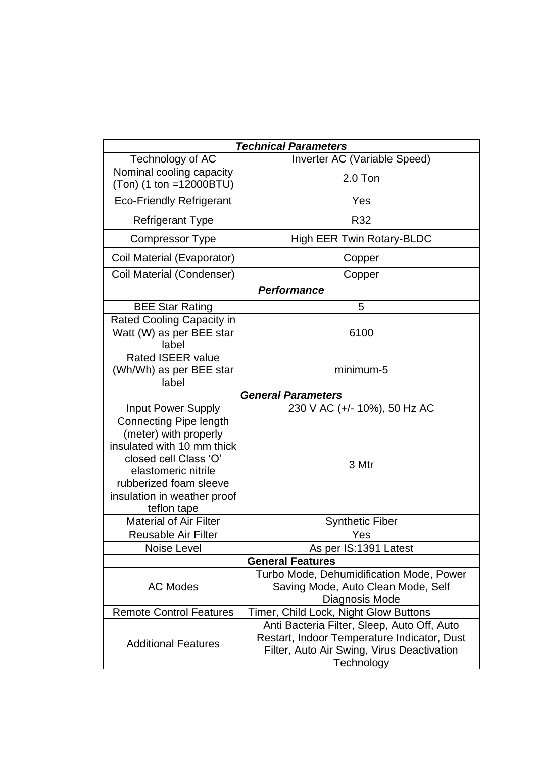|                                                                                                                                                                                                              | <b>Technical Parameters</b>                                                                                                                            |  |
|--------------------------------------------------------------------------------------------------------------------------------------------------------------------------------------------------------------|--------------------------------------------------------------------------------------------------------------------------------------------------------|--|
| Technology of AC                                                                                                                                                                                             | Inverter AC (Variable Speed)                                                                                                                           |  |
| Nominal cooling capacity<br>$(Ton)$ (1 ton =12000BTU)                                                                                                                                                        | $2.0$ Ton                                                                                                                                              |  |
| <b>Eco-Friendly Refrigerant</b>                                                                                                                                                                              | Yes                                                                                                                                                    |  |
| <b>Refrigerant Type</b>                                                                                                                                                                                      | R32                                                                                                                                                    |  |
| <b>Compressor Type</b>                                                                                                                                                                                       | High EER Twin Rotary-BLDC                                                                                                                              |  |
| Coil Material (Evaporator)                                                                                                                                                                                   | Copper                                                                                                                                                 |  |
| Coil Material (Condenser)                                                                                                                                                                                    | Copper                                                                                                                                                 |  |
| <b>Performance</b>                                                                                                                                                                                           |                                                                                                                                                        |  |
| <b>BEE Star Rating</b>                                                                                                                                                                                       | 5                                                                                                                                                      |  |
| Rated Cooling Capacity in<br>Watt (W) as per BEE star<br>label                                                                                                                                               | 6100                                                                                                                                                   |  |
| <b>Rated ISEER value</b><br>(Wh/Wh) as per BEE star<br>label                                                                                                                                                 | minimum-5                                                                                                                                              |  |
| <b>General Parameters</b>                                                                                                                                                                                    |                                                                                                                                                        |  |
| <b>Input Power Supply</b>                                                                                                                                                                                    | 230 V AC (+/- 10%), 50 Hz AC                                                                                                                           |  |
| <b>Connecting Pipe length</b><br>(meter) with properly<br>insulated with 10 mm thick<br>closed cell Class 'O'<br>elastomeric nitrile<br>rubberized foam sleeve<br>insulation in weather proof<br>teflon tape | 3 Mtr                                                                                                                                                  |  |
| <b>Material of Air Filter</b>                                                                                                                                                                                | <b>Synthetic Fiber</b>                                                                                                                                 |  |
| <b>Reusable Air Filter</b>                                                                                                                                                                                   | Yes                                                                                                                                                    |  |
| <b>Noise Level</b>                                                                                                                                                                                           | As per IS:1391 Latest                                                                                                                                  |  |
| <b>General Features</b>                                                                                                                                                                                      |                                                                                                                                                        |  |
| <b>AC Modes</b>                                                                                                                                                                                              | Turbo Mode, Dehumidification Mode, Power<br>Saving Mode, Auto Clean Mode, Self<br>Diagnosis Mode                                                       |  |
| <b>Remote Control Features</b>                                                                                                                                                                               | Timer, Child Lock, Night Glow Buttons                                                                                                                  |  |
| <b>Additional Features</b>                                                                                                                                                                                   | Anti Bacteria Filter, Sleep, Auto Off, Auto<br>Restart, Indoor Temperature Indicator, Dust<br>Filter, Auto Air Swing, Virus Deactivation<br>Technology |  |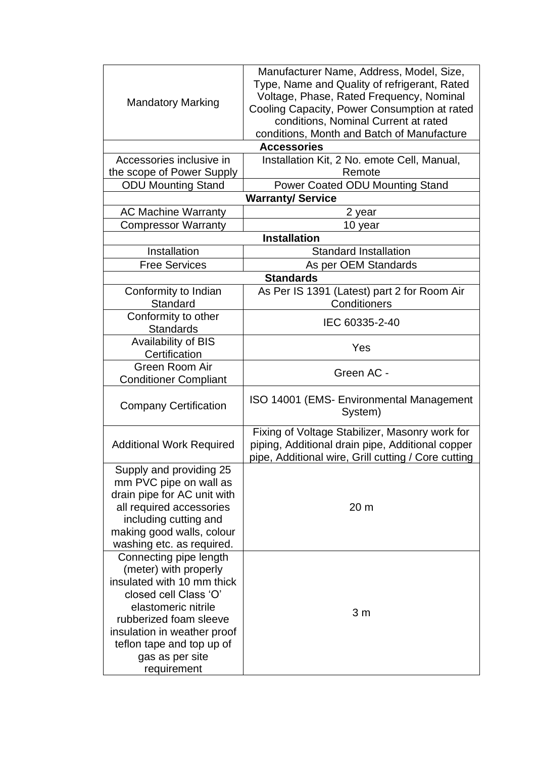|                                                                         | Manufacturer Name, Address, Model, Size,            |  |
|-------------------------------------------------------------------------|-----------------------------------------------------|--|
|                                                                         | Type, Name and Quality of refrigerant, Rated        |  |
|                                                                         | Voltage, Phase, Rated Frequency, Nominal            |  |
| <b>Mandatory Marking</b>                                                | Cooling Capacity, Power Consumption at rated        |  |
|                                                                         | conditions, Nominal Current at rated                |  |
|                                                                         | conditions, Month and Batch of Manufacture          |  |
|                                                                         | <b>Accessories</b>                                  |  |
| Installation Kit, 2 No. emote Cell, Manual,<br>Accessories inclusive in |                                                     |  |
| the scope of Power Supply                                               | Remote                                              |  |
| <b>ODU Mounting Stand</b>                                               | Power Coated ODU Mounting Stand                     |  |
|                                                                         | <b>Warranty/Service</b>                             |  |
| <b>AC Machine Warranty</b>                                              |                                                     |  |
|                                                                         | 2 year                                              |  |
| <b>Compressor Warranty</b>                                              | 10 year                                             |  |
| <b>Installation</b>                                                     |                                                     |  |
| Installation                                                            | <b>Standard Installation</b>                        |  |
| <b>Free Services</b>                                                    | As per OEM Standards                                |  |
|                                                                         | <b>Standards</b>                                    |  |
| Conformity to Indian                                                    | As Per IS 1391 (Latest) part 2 for Room Air         |  |
| Standard                                                                | Conditioners                                        |  |
| Conformity to other                                                     | IEC 60335-2-40                                      |  |
| <b>Standards</b>                                                        |                                                     |  |
| Availability of BIS                                                     | Yes                                                 |  |
| Certification                                                           |                                                     |  |
| Green Room Air                                                          | Green AC -                                          |  |
| <b>Conditioner Compliant</b>                                            |                                                     |  |
|                                                                         | ISO 14001 (EMS- Environmental Management            |  |
| <b>Company Certification</b>                                            | System)                                             |  |
|                                                                         | Fixing of Voltage Stabilizer, Masonry work for      |  |
| <b>Additional Work Required</b>                                         | piping, Additional drain pipe, Additional copper    |  |
|                                                                         | pipe, Additional wire, Grill cutting / Core cutting |  |
| Supply and providing 25                                                 |                                                     |  |
| mm PVC pipe on wall as                                                  |                                                     |  |
| drain pipe for AC unit with                                             |                                                     |  |
| all required accessories                                                | 20 <sub>m</sub>                                     |  |
| including cutting and                                                   |                                                     |  |
| making good walls, colour                                               |                                                     |  |
| washing etc. as required.                                               |                                                     |  |
| Connecting pipe length                                                  |                                                     |  |
| (meter) with properly                                                   |                                                     |  |
| insulated with 10 mm thick                                              |                                                     |  |
| closed cell Class 'O'                                                   |                                                     |  |
| elastomeric nitrile                                                     |                                                     |  |
| rubberized foam sleeve                                                  | 3 <sub>m</sub>                                      |  |
| insulation in weather proof                                             |                                                     |  |
| teflon tape and top up of                                               |                                                     |  |
| gas as per site                                                         |                                                     |  |
| requirement                                                             |                                                     |  |
|                                                                         |                                                     |  |